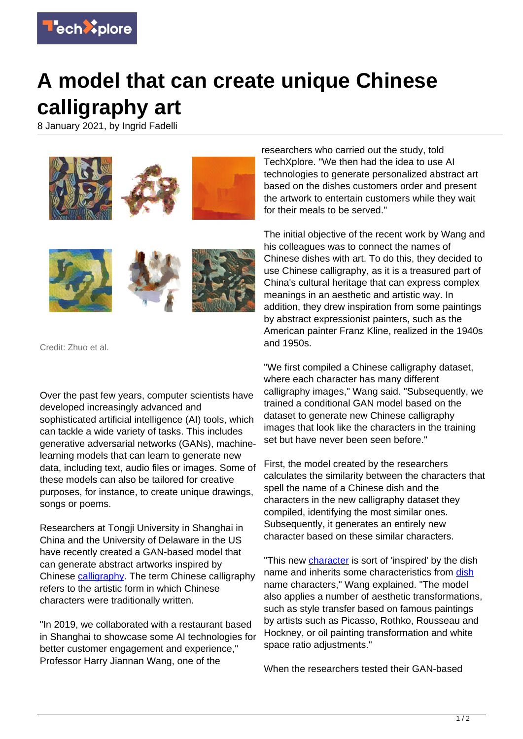

## **A model that can create unique Chinese calligraphy art**

8 January 2021, by Ingrid Fadelli



Credit: Zhuo et al.

Over the past few years, computer scientists have developed increasingly advanced and sophisticated artificial intelligence (AI) tools, which can tackle a wide variety of tasks. This includes generative adversarial networks (GANs), machinelearning models that can learn to generate new data, including text, audio files or images. Some of these models can also be tailored for creative purposes, for instance, to create unique drawings, songs or poems.

Researchers at Tongji University in Shanghai in China and the University of Delaware in the US have recently created a GAN-based model that can generate abstract artworks inspired by Chinese [calligraphy](https://techxplore.com/tags/calligraphy/). The term Chinese calligraphy refers to the artistic form in which Chinese characters were traditionally written.

"In 2019, we collaborated with a restaurant based in Shanghai to showcase some AI technologies for better customer engagement and experience," Professor Harry Jiannan Wang, one of the

researchers who carried out the study, told TechXplore. "We then had the idea to use AI technologies to generate personalized abstract art based on the dishes customers order and present the artwork to entertain customers while they wait for their meals to be served."

The initial objective of the recent work by Wang and his colleagues was to connect the names of Chinese dishes with art. To do this, they decided to use Chinese calligraphy, as it is a treasured part of China's cultural heritage that can express complex meanings in an aesthetic and artistic way. In addition, they drew inspiration from some paintings by abstract expressionist painters, such as the American painter Franz Kline, realized in the 1940s and 1950s.

"We first compiled a Chinese calligraphy dataset, where each character has many different calligraphy images," Wang said. "Subsequently, we trained a conditional GAN model based on the dataset to generate new Chinese calligraphy images that look like the characters in the training set but have never been seen before."

First, the model created by the researchers calculates the similarity between the characters that spell the name of a Chinese dish and the characters in the new calligraphy dataset they compiled, identifying the most similar ones. Subsequently, it generates an entirely new character based on these similar characters.

"This new *character* is sort of 'inspired' by the dish name and inherits some characteristics from [dish](https://techxplore.com/tags/dish/) name characters," Wang explained. "The model also applies a number of aesthetic transformations, such as style transfer based on famous paintings by artists such as Picasso, Rothko, Rousseau and Hockney, or oil painting transformation and white space ratio adjustments."

When the researchers tested their GAN-based